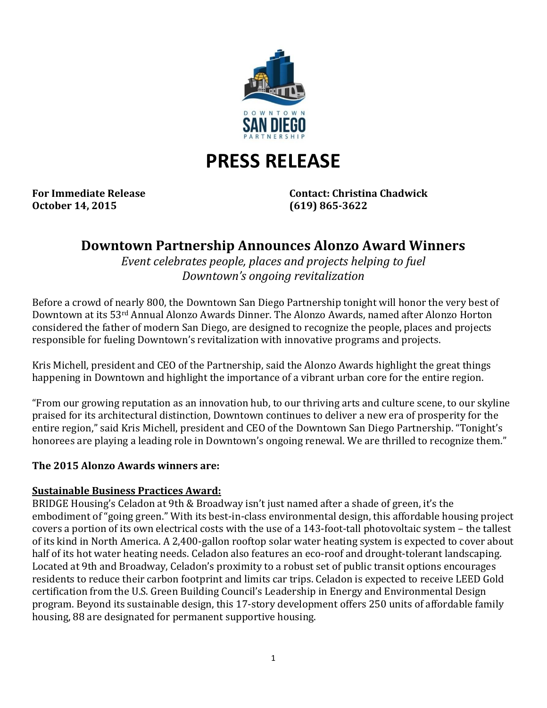

# **PRESS RELEASE**

**October 14, 2015 (619) 865-3622**

**For Immediate Release Contact: Christina Chadwick**

# **Downtown Partnership Announces Alonzo Award Winners**

*Event celebrates people, places and projects helping to fuel Downtown's ongoing revitalization*

Before a crowd of nearly 800, the Downtown San Diego Partnership tonight will honor the very best of Downtown at its 53rd Annual Alonzo Awards Dinner. The Alonzo Awards, named after Alonzo Horton considered the father of modern San Diego, are designed to recognize the people, places and projects responsible for fueling Downtown's revitalization with innovative programs and projects.

Kris Michell, president and CEO of the Partnership, said the Alonzo Awards highlight the great things happening in Downtown and highlight the importance of a vibrant urban core for the entire region.

"From our growing reputation as an innovation hub, to our thriving arts and culture scene, to our skyline praised for its architectural distinction, Downtown continues to deliver a new era of prosperity for the entire region," said Kris Michell, president and CEO of the Downtown San Diego Partnership. "Tonight's honorees are playing a leading role in Downtown's ongoing renewal. We are thrilled to recognize them."

#### **The 2015 Alonzo Awards winners are:**

#### **Sustainable Business Practices Award:**

BRIDGE Housing's Celadon at 9th & Broadway isn't just named after a shade of green, it's the embodiment of "going green." With its best-in-class environmental design, this affordable housing project covers a portion of its own electrical costs with the use of a 143-foot-tall photovoltaic system – the tallest of its kind in North America. A 2,400-gallon rooftop solar water heating system is expected to cover about half of its hot water heating needs. Celadon also features an eco-roof and drought-tolerant landscaping. Located at 9th and Broadway, Celadon's proximity to a robust set of public transit options encourages residents to reduce their carbon footprint and limits car trips. Celadon is expected to receive LEED Gold certification from the U.S. Green Building Council's Leadership in Energy and Environmental Design program. Beyond its sustainable design, this 17-story development offers 250 units of affordable family housing, 88 are designated for permanent supportive housing.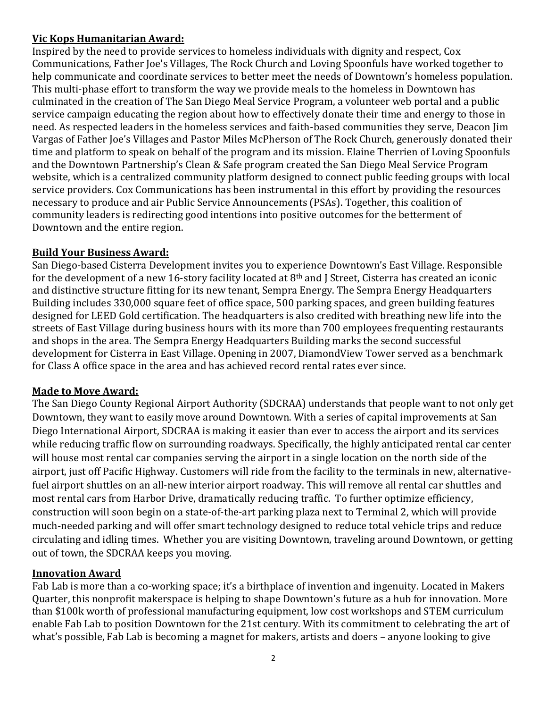### **Vic Kops Humanitarian Award:**

Inspired by the need to provide services to homeless individuals with dignity and respect, Cox Communications, Father Joe's Villages, The Rock Church and Loving Spoonfuls have worked together to help communicate and coordinate services to better meet the needs of Downtown's homeless population. This multi-phase effort to transform the way we provide meals to the homeless in Downtown has culminated in the creation of The San Diego Meal Service Program, a volunteer web portal and a public service campaign educating the region about how to effectively donate their time and energy to those in need. As respected leaders in the homeless services and faith-based communities they serve, Deacon Jim Vargas of Father Joe's Villages and Pastor Miles McPherson of The Rock Church, generously donated their time and platform to speak on behalf of the program and its mission. Elaine Therrien of Loving Spoonfuls and the Downtown Partnership's Clean & Safe program created the San Diego Meal Service Program website, which is a centralized community platform designed to connect public feeding groups with local service providers. Cox Communications has been instrumental in this effort by providing the resources necessary to produce and air Public Service Announcements (PSAs). Together, this coalition of community leaders is redirecting good intentions into positive outcomes for the betterment of Downtown and the entire region.

## **Build Your Business Award:**

San Diego-based Cisterra Development invites you to experience Downtown's East Village. Responsible for the development of a new 16-story facility located at 8th and J Street, Cisterra has created an iconic and distinctive structure fitting for its new tenant, Sempra Energy. The Sempra Energy Headquarters Building includes 330,000 square feet of office space, 500 parking spaces, and green building features designed for LEED Gold certification. The headquarters is also credited with breathing new life into the streets of East Village during business hours with its more than 700 employees frequenting restaurants and shops in the area. The Sempra Energy Headquarters Building marks the second successful development for Cisterra in East Village. Opening in 2007, DiamondView Tower served as a benchmark for Class A office space in the area and has achieved record rental rates ever since.

#### **Made to Move Award:**

The San Diego County Regional Airport Authority (SDCRAA) understands that people want to not only get Downtown, they want to easily move around Downtown. With a series of capital improvements at San Diego International Airport, SDCRAA is making it easier than ever to access the airport and its services while reducing traffic flow on surrounding roadways. Specifically, the highly anticipated rental car center will house most rental car companies serving the airport in a single location on the north side of the airport, just off Pacific Highway. Customers will ride from the facility to the terminals in new, alternativefuel airport shuttles on an all-new interior airport roadway. This will remove all rental car shuttles and most rental cars from Harbor Drive, dramatically reducing traffic. To further optimize efficiency, construction will soon begin on a state-of-the-art parking plaza next to Terminal 2, which will provide much-needed parking and will offer smart technology designed to reduce total vehicle trips and reduce circulating and idling times. Whether you are visiting Downtown, traveling around Downtown, or getting out of town, the SDCRAA keeps you moving.

#### **Innovation Award**

Fab Lab is more than a co-working space; it's a birthplace of invention and ingenuity. Located in Makers Quarter, this nonprofit makerspace is helping to shape Downtown's future as a hub for innovation. More than \$100k worth of professional manufacturing equipment, low cost workshops and STEM curriculum enable Fab Lab to position Downtown for the 21st century. With its commitment to celebrating the art of what's possible, Fab Lab is becoming a magnet for makers, artists and doers – anyone looking to give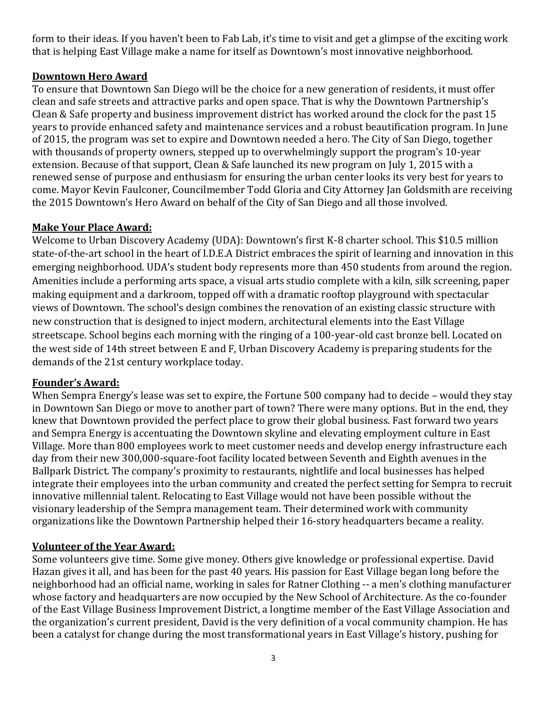form to their ideas. If you haven't been to Fab Lab, it's time to visit and get a glimpse of the exciting work that is helping East Village make a name for itself as Downtown's most innovative neighborhood.

#### **Downtown Hero Award**

To ensure that Downtown San Diego will be the choice for a new generation of residents, it must offer clean and safe streets and attractive parks and open space. That is why the Downtown Partnership's Clean & Safe property and business improvement district has worked around the clock for the past 15 years to provide enhanced safety and maintenance services and a robust beautification program. In June of 2015, the program was set to expire and Downtown needed a hero. The City of San Diego, together with thousands of property owners, stepped up to overwhelmingly support the program's 10-year extension. Because of that support, Clean & Safe launched its new program on July 1, 2015 with a renewed sense of purpose and enthusiasm for ensuring the urban center looks its very best for years to come. Mayor Kevin Faulconer, Councilmember Todd Gloria and City Attorney Jan Goldsmith are receiving the 2015 Downtown's Hero Award on behalf of the City of San Diego and all those involved.

#### **Make Your Place Award:**

Welcome to Urban Discovery Academy (UDA): Downtown's first K-8 charter school. This \$10.5 million state-of-the-art school in the heart of I.D.E.A District embraces the spirit of learning and innovation in this emerging neighborhood. UDA's student body represents more than 450 students from around the region. Amenities include a performing arts space, a visual arts studio complete with a kiln, silk screening, paper making equipment and a darkroom, topped off with a dramatic rooftop playground with spectacular views of Downtown. The school's design combines the renovation of an existing classic structure with new construction that is designed to inject modern, architectural elements into the East Village streetscape. School begins each morning with the ringing of a 100-year-old cast bronze bell. Located on the west side of 14th street between E and F, Urban Discovery Academy is preparing students for the demands of the 21st century workplace today.

#### **Founder's Award:**

When Sempra Energy's lease was set to expire, the Fortune 500 company had to decide – would they stay in Downtown San Diego or move to another part of town? There were many options. But in the end, they knew that Downtown provided the perfect place to grow their global business. Fast forward two years and Sempra Energy is accentuating the Downtown skyline and elevating employment culture in East Village. More than 800 employees work to meet customer needs and develop energy infrastructure each day from their new 300,000-square-foot facility located between Seventh and Eighth avenues in the Ballpark District. The company's proximity to restaurants, nightlife and local businesses has helped integrate their employees into the urban community and created the perfect setting for Sempra to recruit innovative millennial talent. Relocating to East Village would not have been possible without the visionary leadership of the Sempra management team. Their determined work with community organizations like the Downtown Partnership helped their 16-story headquarters became a reality.

#### **Volunteer of the Year Award:**

Some volunteers give time. Some give money. Others give knowledge or professional expertise. David Hazan gives it all, and has been for the past 40 years. His passion for East Village began long before the neighborhood had an official name, working in sales for Ratner Clothing -- a men's clothing manufacturer whose factory and headquarters are now occupied by the New School of Architecture. As the co-founder of the East Village Business Improvement District, a longtime member of the East Village Association and the organization's current president, David is the very definition of a vocal community champion. He has been a catalyst for change during the most transformational years in East Village's history, pushing for